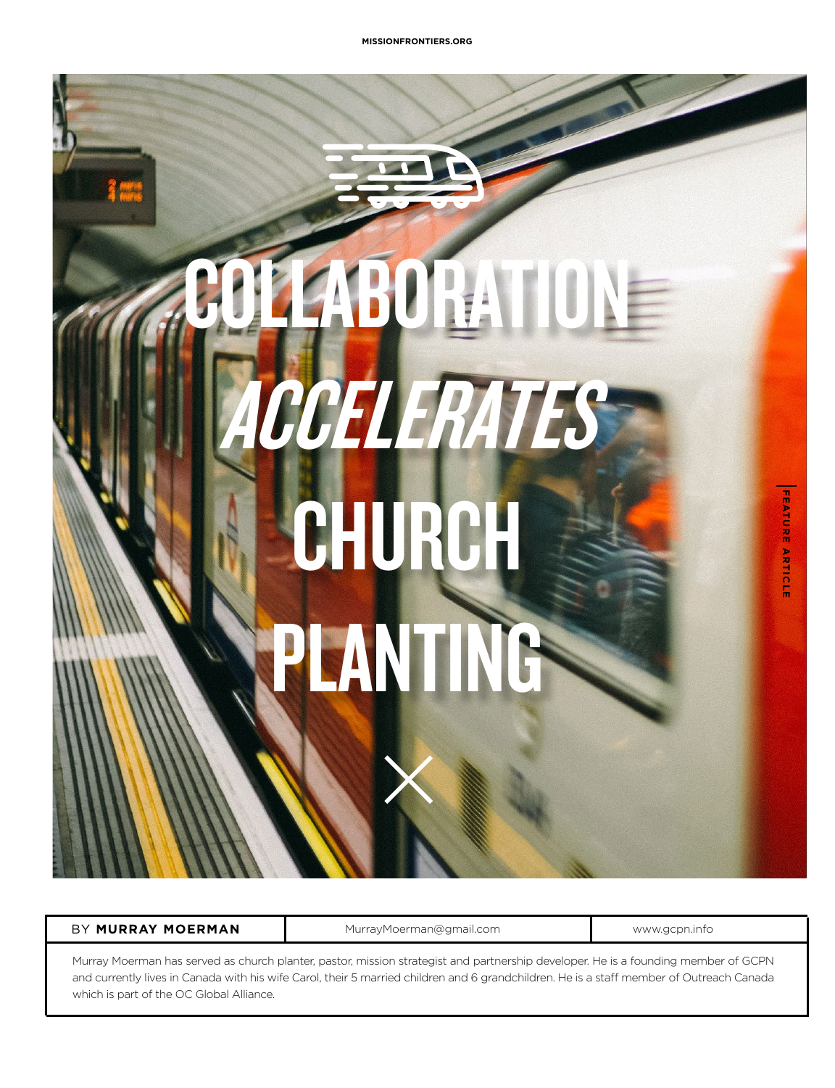# AGORATIONE **CCELERATES** CHURCH **PANTIN**

BY **MURRAY MOERMAN** MurrayMoerman@gmail.com

www.gcpn.info

**FEATURE ARTICLE**

**FEATURE ARTICLE** 

Murray Moerman has served as church planter, pastor, mission strategist and partnership developer. He is a founding member of GCPN and currently lives in Canada with his wife Carol, their 5 married children and 6 grandchildren. He is a staff member of Outreach Canada which is part of the OC Global Alliance.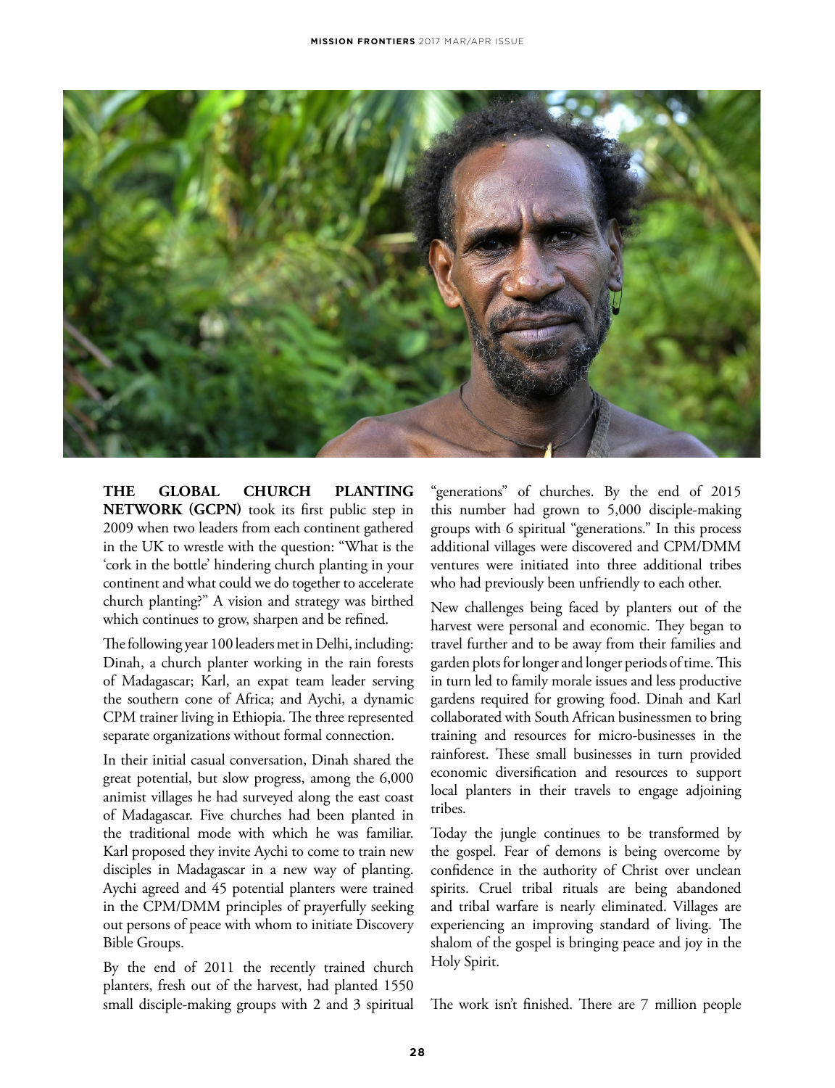

**THE GLOBAL CHURCH PLANTING NETWORK (GCPN)** took its first public step in 2009 when two leaders from each continent gathered in the UK to wrestle with the question: "What is the 'cork in the bottle' hindering church planting in your continent and what could we do together to accelerate church planting?" A vision and strategy was birthed which continues to grow, sharpen and be refined.

The following year 100 leaders met in Delhi, including: Dinah, a church planter working in the rain forests of Madagascar; Karl, an expat team leader serving the southern cone of Africa; and Aychi, a dynamic CPM trainer living in Ethiopia. The three represented separate organizations without formal connection.

In their initial casual conversation, Dinah shared the great potential, but slow progress, among the 6,000 animist villages he had surveyed along the east coast of Madagascar. Five churches had been planted in the traditional mode with which he was familiar. Karl proposed they invite Aychi to come to train new disciples in Madagascar in a new way of planting. Aychi agreed and 45 potential planters were trained in the CPM/DMM principles of prayerfully seeking out persons of peace with whom to initiate Discovery Bible Groups.

By the end of 2011 the recently trained church planters, fresh out of the harvest, had planted 1550 small disciple-making groups with 2 and 3 spiritual

"generations" of churches. By the end of 2015 this number had grown to 5,000 disciple-making groups with 6 spiritual "generations." In this process additional villages were discovered and CPM/DMM ventures were initiated into three additional tribes who had previously been unfriendly to each other.

New challenges being faced by planters out of the harvest were personal and economic. They began to travel further and to be away from their families and garden plots for longer and longer periods of time. This in turn led to family morale issues and less productive gardens required for growing food. Dinah and Karl collaborated with South African businessmen to bring training and resources for micro-businesses in the rainforest. These small businesses in turn provided economic diversification and resources to support local planters in their travels to engage adjoining tribes.

Today the jungle continues to be transformed by the gospel. Fear of demons is being overcome by confidence in the authority of Christ over unclean spirits. Cruel tribal rituals are being abandoned and tribal warfare is nearly eliminated. Villages are experiencing an improving standard of living. The shalom of the gospel is bringing peace and joy in the Holy Spirit.

The work isn't finished. There are 7 million people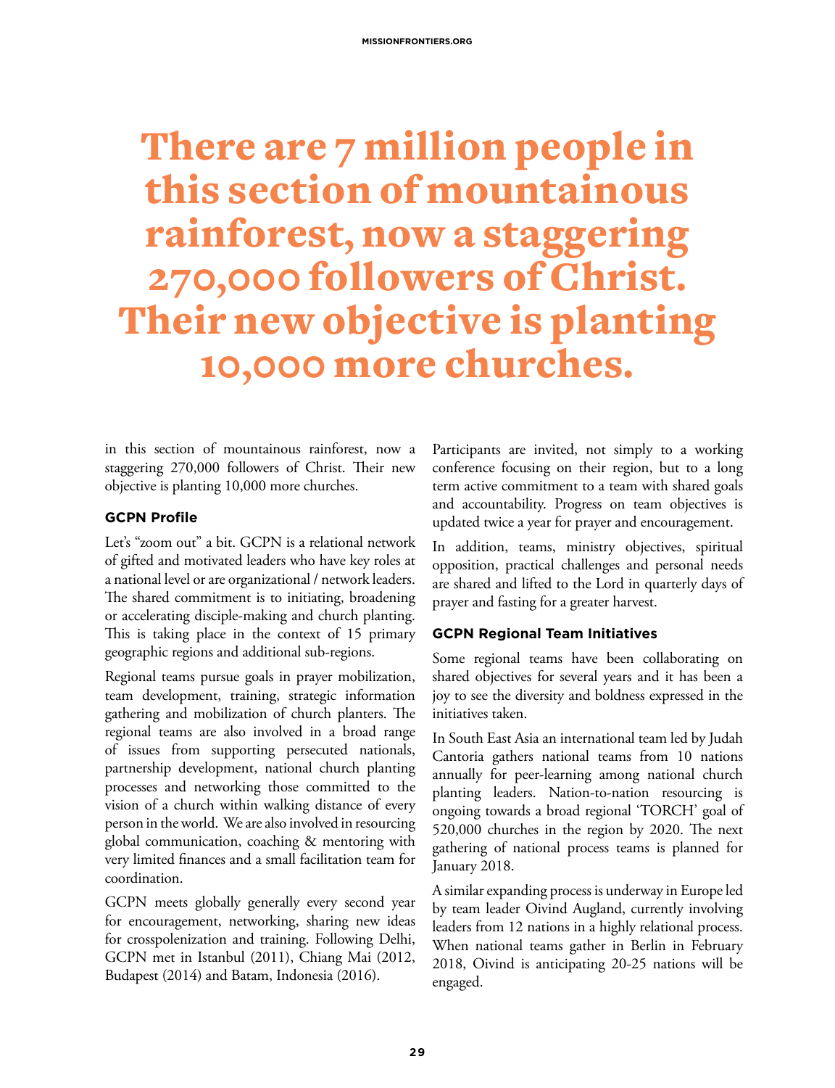## There are 7 million people in this section of mountainous rainforest, now a staggering 270,000 followers of Christ. Their new objective is planting 10,000 more churches.

in this section of mountainous rainforest, now a staggering 270,000 followers of Christ. Their new objective is planting 10,000 more churches.

#### **GCPN Profile**

Let's "zoom out" a bit. GCPN is a relational network of gifted and motivated leaders who have key roles at a national level or are organizational / network leaders. The shared commitment is to initiating, broadening or accelerating disciple-making and church planting. This is taking place in the context of 15 primary geographic regions and additional sub-regions.

Regional teams pursue goals in prayer mobilization, team development, training, strategic information gathering and mobilization of church planters. The regional teams are also involved in a broad range of issues from supporting persecuted nationals, partnership development, national church planting processes and networking those committed to the vision of a church within walking distance of every person in the world. We are also involved in resourcing global communication, coaching & mentoring with very limited finances and a small facilitation team for coordination.

GCPN meets globally generally every second year for encouragement, networking, sharing new ideas for crosspolenization and training. Following Delhi, GCPN met in Istanbul (2011), Chiang Mai (2012, Budapest (2014) and Batam, Indonesia (2016).

Participants are invited, not simply to a working conference focusing on their region, but to a long term active commitment to a team with shared goals and accountability. Progress on team objectives is updated twice a year for prayer and encouragement.

In addition, teams, ministry objectives, spiritual opposition, practical challenges and personal needs are shared and lifted to the Lord in quarterly days of prayer and fasting for a greater harvest.

### **GCPN Regional Team Initiatives**

Some regional teams have been collaborating on shared objectives for several years and it has been a joy to see the diversity and boldness expressed in the initiatives taken.

In South East Asia an international team led by Judah Cantoria gathers national teams from 10 nations annually for peer-learning among national church planting leaders. Nation-to-nation resourcing is ongoing towards a broad regional 'TORCH' goal of 520,000 churches in the region by 2020. The next gathering of national process teams is planned for January 2018.

A similar expanding process is underway in Europe led by team leader Oivind Augland, currently involving leaders from 12 nations in a highly relational process. When national teams gather in Berlin in February 2018, Oivind is anticipating 20-25 nations will be engaged.